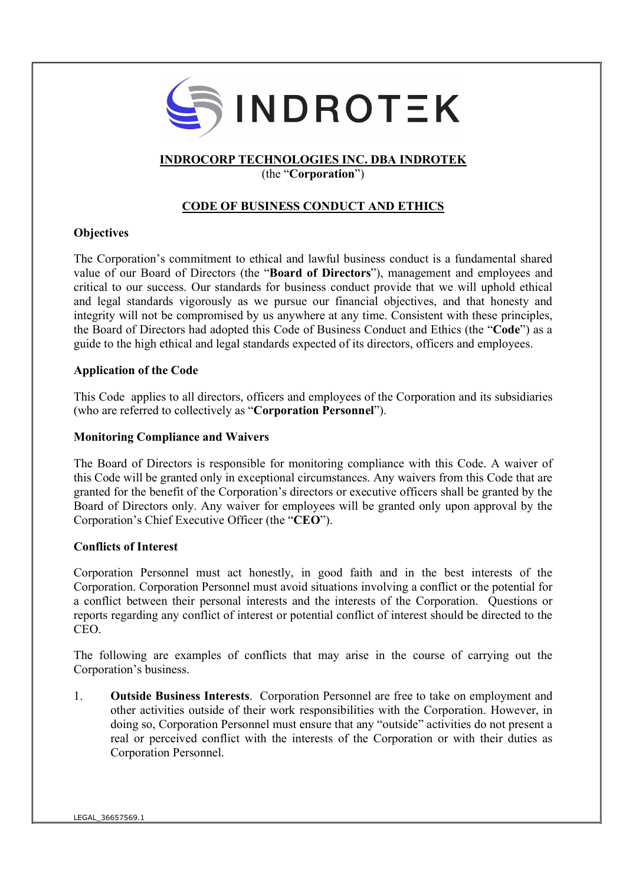

## INDROCORP TECHNOLOGIES INC. DBA INDROTEK

(the "Corporation")

# CODE OF BUSINESS CONDUCT AND ETHICS

### **Objectives**

The Corporation's commitment to ethical and lawful business conduct is a fundamental shared value of our Board of Directors (the "Board of Directors"), management and employees and critical to our success. Our standards for business conduct provide that we will uphold ethical and legal standards vigorously as we pursue our financial objectives, and that honesty and integrity will not be compromised by us anywhere at any time. Consistent with these principles, the Board of Directors had adopted this Code of Business Conduct and Ethics (the "Code") as a guide to the high ethical and legal standards expected of its directors, officers and employees.

### Application of the Code

This Code applies to all directors, officers and employees of the Corporation and its subsidiaries (who are referred to collectively as "Corporation Personnel").

### Monitoring Compliance and Waivers

The Board of Directors is responsible for monitoring compliance with this Code. A waiver of this Code will be granted only in exceptional circumstances. Any waivers from this Code that are granted for the benefit of the Corporation's directors or executive officers shall be granted by the Board of Directors only. Any waiver for employees will be granted only upon approval by the Corporation's Chief Executive Officer (the "CEO").

### Conflicts of Interest

Corporation Personnel must act honestly, in good faith and in the best interests of the Corporation. Corporation Personnel must avoid situations involving a conflict or the potential for a conflict between their personal interests and the interests of the Corporation. Questions or reports regarding any conflict of interest or potential conflict of interest should be directed to the CEO.

The following are examples of conflicts that may arise in the course of carrying out the Corporation's business.

1. Outside Business Interests. Corporation Personnel are free to take on employment and other activities outside of their work responsibilities with the Corporation. However, in doing so, Corporation Personnel must ensure that any "outside" activities do not present a real or perceived conflict with the interests of the Corporation or with their duties as Corporation Personnel.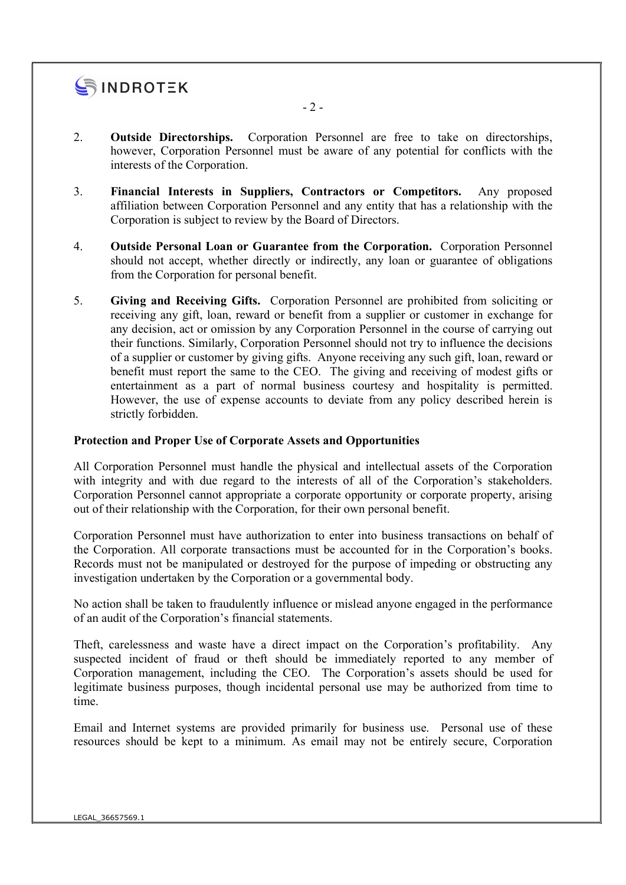

- 2. Outside Directorships. Corporation Personnel are free to take on directorships, however, Corporation Personnel must be aware of any potential for conflicts with the interests of the Corporation.
- 3. Financial Interests in Suppliers, Contractors or Competitors. Any proposed affiliation between Corporation Personnel and any entity that has a relationship with the Corporation is subject to review by the Board of Directors.
- 4. Outside Personal Loan or Guarantee from the Corporation. Corporation Personnel should not accept, whether directly or indirectly, any loan or guarantee of obligations from the Corporation for personal benefit.
- 5. Giving and Receiving Gifts. Corporation Personnel are prohibited from soliciting or receiving any gift, loan, reward or benefit from a supplier or customer in exchange for any decision, act or omission by any Corporation Personnel in the course of carrying out their functions. Similarly, Corporation Personnel should not try to influence the decisions of a supplier or customer by giving gifts. Anyone receiving any such gift, loan, reward or benefit must report the same to the CEO. The giving and receiving of modest gifts or entertainment as a part of normal business courtesy and hospitality is permitted. However, the use of expense accounts to deviate from any policy described herein is strictly forbidden.

#### Protection and Proper Use of Corporate Assets and Opportunities

All Corporation Personnel must handle the physical and intellectual assets of the Corporation with integrity and with due regard to the interests of all of the Corporation's stakeholders. Corporation Personnel cannot appropriate a corporate opportunity or corporate property, arising out of their relationship with the Corporation, for their own personal benefit.

Corporation Personnel must have authorization to enter into business transactions on behalf of the Corporation. All corporate transactions must be accounted for in the Corporation's books. Records must not be manipulated or destroyed for the purpose of impeding or obstructing any investigation undertaken by the Corporation or a governmental body.

No action shall be taken to fraudulently influence or mislead anyone engaged in the performance of an audit of the Corporation's financial statements.

Theft, carelessness and waste have a direct impact on the Corporation's profitability. Any suspected incident of fraud or theft should be immediately reported to any member of Corporation management, including the CEO. The Corporation's assets should be used for legitimate business purposes, though incidental personal use may be authorized from time to time.

Email and Internet systems are provided primarily for business use. Personal use of these resources should be kept to a minimum. As email may not be entirely secure, Corporation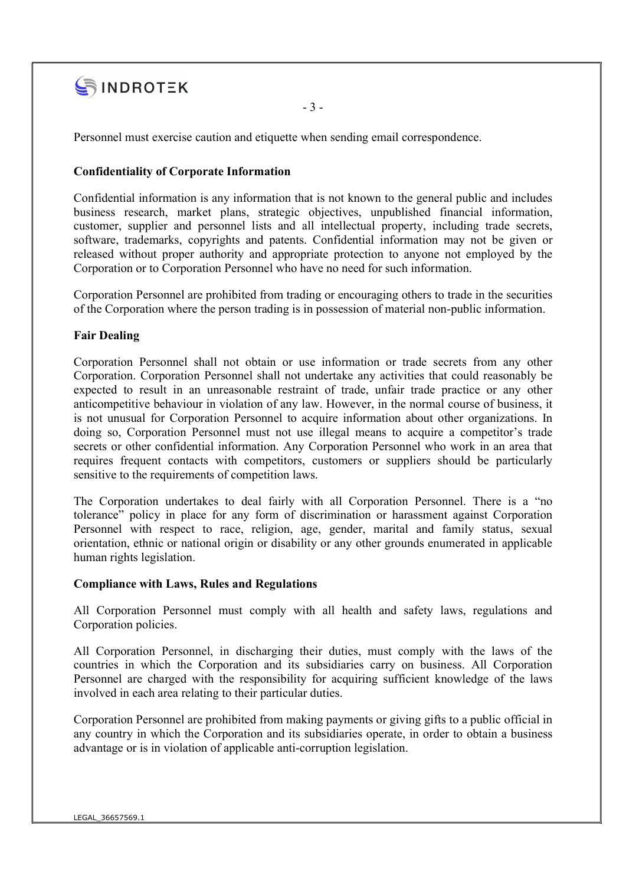

- 3 -

Personnel must exercise caution and etiquette when sending email correspondence.

### Confidentiality of Corporate Information

Confidential information is any information that is not known to the general public and includes business research, market plans, strategic objectives, unpublished financial information, customer, supplier and personnel lists and all intellectual property, including trade secrets, software, trademarks, copyrights and patents. Confidential information may not be given or released without proper authority and appropriate protection to anyone not employed by the Corporation or to Corporation Personnel who have no need for such information.

Corporation Personnel are prohibited from trading or encouraging others to trade in the securities of the Corporation where the person trading is in possession of material non-public information.

### Fair Dealing

Corporation Personnel shall not obtain or use information or trade secrets from any other Corporation. Corporation Personnel shall not undertake any activities that could reasonably be expected to result in an unreasonable restraint of trade, unfair trade practice or any other anticompetitive behaviour in violation of any law. However, in the normal course of business, it is not unusual for Corporation Personnel to acquire information about other organizations. In doing so, Corporation Personnel must not use illegal means to acquire a competitor's trade secrets or other confidential information. Any Corporation Personnel who work in an area that requires frequent contacts with competitors, customers or suppliers should be particularly sensitive to the requirements of competition laws.

The Corporation undertakes to deal fairly with all Corporation Personnel. There is a "no tolerance" policy in place for any form of discrimination or harassment against Corporation Personnel with respect to race, religion, age, gender, marital and family status, sexual orientation, ethnic or national origin or disability or any other grounds enumerated in applicable human rights legislation.

#### Compliance with Laws, Rules and Regulations

All Corporation Personnel must comply with all health and safety laws, regulations and Corporation policies.

All Corporation Personnel, in discharging their duties, must comply with the laws of the countries in which the Corporation and its subsidiaries carry on business. All Corporation Personnel are charged with the responsibility for acquiring sufficient knowledge of the laws involved in each area relating to their particular duties.

Corporation Personnel are prohibited from making payments or giving gifts to a public official in any country in which the Corporation and its subsidiaries operate, in order to obtain a business advantage or is in violation of applicable anti-corruption legislation.